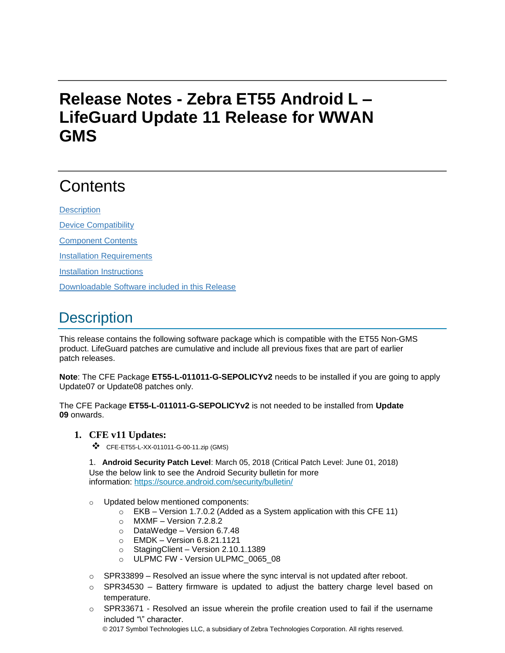# **Release Notes - Zebra ET55 Android L – LifeGuard Update 11 Release for WWAN GMS**

# **Contents**

**[Description](#page-0-0)** 

[Device Compatibility](#page-4-0)

[Component Contents](#page-4-1)

[Installation Requirements](#page-4-2)

[Installation Instructions](#page-5-0)

[Downloadable Software included in this Release](#page-6-0)

# <span id="page-0-0"></span>**Description**

This release contains the following software package which is compatible with the ET55 Non-GMS product. LifeGuard patches are cumulative and include all previous fixes that are part of earlier patch releases.

**Note**: The CFE Package **ET55-L-011011-G-SEPOLICYv2** needs to be installed if you are going to apply Update07 or Update08 patches only.

The CFE Package **ET55-L-011011-G-SEPOLICYv2** is not needed to be installed from **Update 09** onwards.

### **1. CFE v11 Updates:**

❖ CFE-ET55-L-XX-011011-G-00-11.zip (GMS)

1. **Android Security Patch Level**: March 05, 2018 (Critical Patch Level: June 01, 2018) Use the below link to see the Android Security bulletin for more information:<https://source.android.com/security/bulletin/>

- o Updated below mentioned components:
	- $\circ$  EKB Version 1.7.0.2 (Added as a System application with this CFE 11)
	- $\circ$  MXMF Version 7.2.8.2
	- o DataWedge Version 6.7.48
	- o EMDK Version 6.8.21.1121
	- o StagingClient Version 2.10.1.1389
	- o ULPMC FW Version ULPMC\_0065\_08
- $\circ$  SPR33899 Resolved an issue where the sync interval is not updated after reboot.
- $\circ$  SPR34530 Battery firmware is updated to adjust the battery charge level based on temperature.
- o SPR33671 Resolved an issue wherein the profile creation used to fail if the username included "\" character.

© 2017 Symbol Technologies LLC, a subsidiary of Zebra Technologies Corporation. All rights reserved.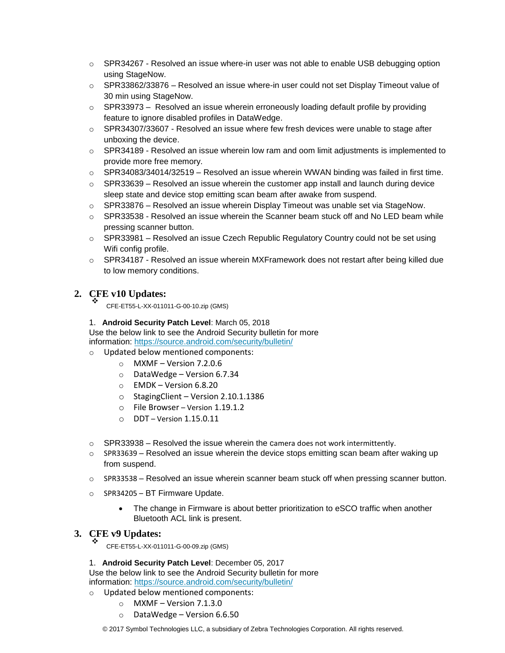- $\circ$  SPR34267 Resolved an issue where-in user was not able to enable USB debugging option using StageNow.
- o SPR33862/33876 Resolved an issue where-in user could not set Display Timeout value of 30 min using StageNow.
- o SPR33973 Resolved an issue wherein erroneously loading default profile by providing feature to ignore disabled profiles in DataWedge.
- $\circ$  SPR34307/33607 Resolved an issue where few fresh devices were unable to stage after unboxing the device.
- $\circ$  SPR34189 Resolved an issue wherein low ram and oom limit adjustments is implemented to provide more free memory.
- o SPR34083/34014/32519 Resolved an issue wherein WWAN binding was failed in first time.
- $\circ$  SPR33639 Resolved an issue wherein the customer app install and launch during device sleep state and device stop emitting scan beam after awake from suspend.
- $\circ$  SPR33876 Resolved an issue wherein Display Timeout was unable set via StageNow.
- $\circ$  SPR33538 Resolved an issue wherein the Scanner beam stuck off and No LED beam while pressing scanner button.
- $\circ$  SPR33981 Resolved an issue Czech Republic Regulatory Country could not be set using Wifi config profile.
- $\circ$  SPR34187 Resolved an issue wherein MXFramework does not restart after being killed due to low memory conditions.

#### **2. CFE v10 Updates:** ❖

CFE-ET55-L-XX-011011-G-00-10.zip (GMS)

1. **Android Security Patch Level**: March 05, 2018 Use the below link to see the Android Security bulletin for more information:<https://source.android.com/security/bulletin/>

o Updated below mentioned components:

- $\circ$  MXMF Version 7.2.0.6
	- $\circ$  DataWedge Version 6.7.34
	- o EMDK Version 6.8.20
	- o StagingClient Version 2.10.1.1386
	- o File Browser Version 1.19.1.2
	- $O$  DDT Version 1.15.0.11
- $\circ$  SPR33938 Resolved the issue wherein the camera does not work intermittently.
- $\circ$  SPR33639 Resolved an issue wherein the device stops emitting scan beam after waking up from suspend.
- $\circ$  SPR33538 Resolved an issue wherein scanner beam stuck off when pressing scanner button.
- o SPR34205 BT Firmware Update.
	- The change in Firmware is about better prioritization to eSCO traffic when another Bluetooth ACL link is present.

#### **3. CFE v9 Updates:** ❖

CFE-ET55-L-XX-011011-G-00-09.zip (GMS)

1. **Android Security Patch Level**: December 05, 2017

Use the below link to see the Android Security bulletin for more information:<https://source.android.com/security/bulletin/>

- o Updated below mentioned components:
	- $\circ$  MXMF Version 7.1.3.0
	- o DataWedge Version 6.6.50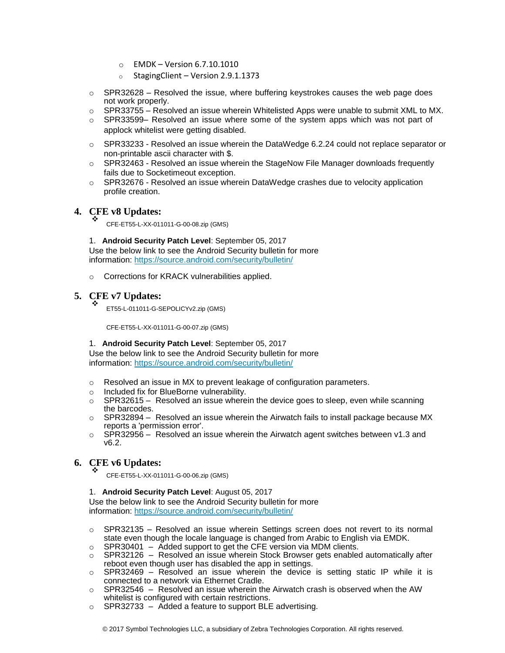- o EMDK Version 6.7.10.1010
- $\circ$  StagingClient Version 2.9.1.1373
- $\circ$  SPR32628 Resolved the issue, where buffering keystrokes causes the web page does not work properly.
- $\circ$  SPR33755 Resolved an issue wherein Whitelisted Apps were unable to submit XML to MX.
- $\circ$  SPR33599– Resolved an issue where some of the system apps which was not part of applock whitelist were getting disabled.
- o SPR33233 Resolved an issue wherein the DataWedge 6.2.24 could not replace separator or non-printable ascii character with \$.
- $\circ$  SPR32463 Resolved an issue wherein the StageNow File Manager downloads frequently fails due to Socketimeout exception.
- $\circ$  SPR32676 Resolved an issue wherein DataWedge crashes due to velocity application profile creation.

## **4. CFE v8 Updates:** ❖

CFE-ET55-L-XX-011011-G-00-08.zip (GMS)

1. **Android Security Patch Level**: September 05, 2017 Use the below link to see the Android Security bulletin for more information:<https://source.android.com/security/bulletin/>

o Corrections for KRACK vulnerabilities applied.

#### **5. CFE v7 Updates:** ❖

ET55-L-011011-G-SEPOLICYv2.zip (GMS)

CFE-ET55-L-XX-011011-G-00-07.zip (GMS)

#### 1. **Android Security Patch Level**: September 05, 2017

Use the below link to see the Android Security bulletin for more information:<https://source.android.com/security/bulletin/>

- o Resolved an issue in MX to prevent leakage of configuration parameters.
- o Included fix for BlueBorne vulnerability.
- $\circ$  SPR32615 Resolved an issue wherein the device goes to sleep, even while scanning the barcodes.
- $\circ$  SPR32894 Resolved an issue wherein the Airwatch fails to install package because MX reports a 'permission error'.
- $\circ$  SPR32956 Resolved an issue wherein the Airwatch agent switches between v1.3 and v6.2.

#### **6. CFE v6 Updates:** ❖

CFE-ET55-L-XX-011011-G-00-06.zip (GMS)

#### 1. **Android Security Patch Level**: August 05, 2017

Use the below link to see the Android Security bulletin for more information:<https://source.android.com/security/bulletin/>

- o SPR32135 Resolved an issue wherein Settings screen does not revert to its normal state even though the locale language is changed from Arabic to English via EMDK.
- $\circ$  SPR30401 Added support to get the CFE version via MDM clients.
- $\circ$  SPR32126 Resolved an issue wherein Stock Browser gets enabled automatically after reboot even though user has disabled the app in settings.
- o SPR32469 Resolved an issue wherein the device is setting static IP while it is connected to a network via Ethernet Cradle.
- $\circ$  SPR32546 Resolved an issue wherein the Airwatch crash is observed when the AW whitelist is configured with certain restrictions.
- o SPR32733 Added a feature to support BLE advertising.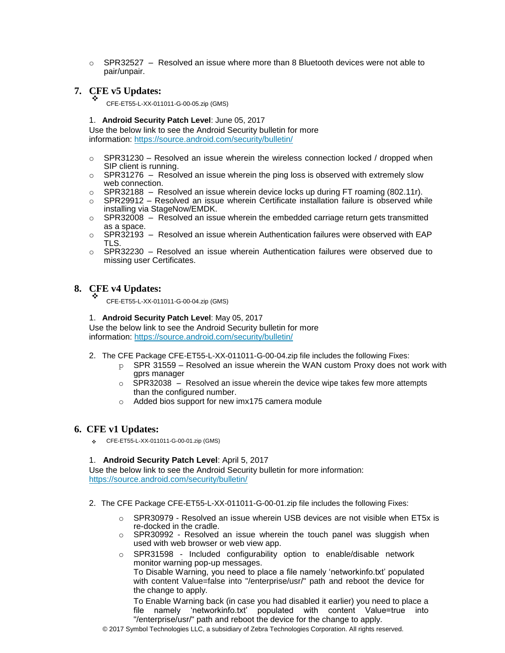$\circ$  SPR32527 – Resolved an issue where more than 8 Bluetooth devices were not able to pair/unpair.

#### **7. CFE v5 Updates:** ❖

CFE-ET55-L-XX-011011-G-00-05.zip (GMS)

1. **Android Security Patch Level**: June 05, 2017

Use the below link to see the Android Security bulletin for more information:<https://source.android.com/security/bulletin/>

- $\circ$  SPR31230 Resolved an issue wherein the wireless connection locked / dropped when SIP client is running.
- $\circ$  SPR31276 Resolved an issue wherein the ping loss is observed with extremely slow web connection.
- $\circ$  SPR32188 Resolved an issue wherein device locks up during FT roaming (802.11r).
- $\circ$  SPR29912 Resolved an issue wherein Certificate installation failure is observed while installing via StageNow/EMDK.
- $\circ$  SPR32008 Resolved an issue wherein the embedded carriage return gets transmitted as a space.
- $\circ$  SPR32193 Resolved an issue wherein Authentication failures were observed with EAP TLS.
- $\circ$  SPR32230 Resolved an issue wherein Authentication failures were observed due to missing user Certificates.

#### **8. CFE v4 Updates:** ❖

CFE-ET55-L-XX-011011-G-00-04.zip (GMS)

1. **Android Security Patch Level**: May 05, 2017

Use the below link to see the Android Security bulletin for more information:<https://source.android.com/security/bulletin/>

- 2. The CFE Package CFE-ET55-L-XX-011011-G-00-04.zip file includes the following Fixes:
	- $p$  SPR 31559 Resolved an issue wherein the WAN custom Proxy does not work with gprs manager
	- $\circ$  SPR32038 Resolved an issue wherein the device wipe takes few more attempts than the configured number.
	- o Added bios support for new imx175 camera module

#### **6. CFE v1 Updates:**

❖ CFE-ET55-L-XX-011011-G-00-01.zip (GMS)

#### 1. **Android Security Patch Level**: April 5, 2017

Use the below link to see the Android Security bulletin for more information: <https://source.android.com/security/bulletin/>

- 2. The CFE Package CFE-ET55-L-XX-011011-G-00-01.zip file includes the following Fixes:
	- $\circ$  SPR30979 Resolved an issue wherein USB devices are not visible when ET5x is re-docked in the cradle.
	- o SPR30992 Resolved an issue wherein the touch panel was sluggish when used with web browser or web view app.
	- o SPR31598 Included configurability option to enable/disable network monitor warning pop-up messages. To Disable Warning, you need to place a file namely 'networkinfo.txt' populated with content Value=false into "/enterprise/usr/" path and reboot the device for

the change to apply. To Enable Warning back (in case you had disabled it earlier) you need to place a

file namely 'networkinfo.txt' populated with content Value=true into "/enterprise/usr/" path and reboot the device for the change to apply.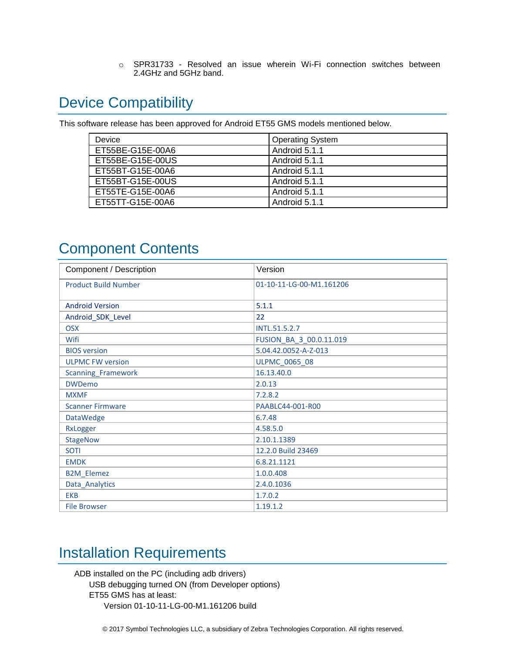o SPR31733 - Resolved an issue wherein Wi-Fi connection switches between 2.4GHz and 5GHz band.

# <span id="page-4-0"></span>Device Compatibility

This software release has been approved for Android ET55 GMS models mentioned below.

| Device           | <b>Operating System</b> |
|------------------|-------------------------|
| ET55BE-G15E-00A6 | Android 5.1.1           |
| ET55BE-G15E-00US | Android 5.1.1           |
| ET55BT-G15E-00A6 | Android 5.1.1           |
| ET55BT-G15E-00US | Android 5.1.1           |
| ET55TE-G15E-00A6 | Android 5.1.1           |
| ET55TT-G15E-00A6 | Android 5.1.1           |

## <span id="page-4-1"></span>Component Contents

| Component / Description     | Version                  |
|-----------------------------|--------------------------|
| <b>Product Build Number</b> | 01-10-11-LG-00-M1.161206 |
|                             |                          |
| <b>Android Version</b>      | 5.1.1                    |
| Android_SDK_Level           | 22                       |
| <b>OSX</b>                  | INTL.51.5.2.7            |
| Wifi                        | FUSION_BA_3_00.0.11.019  |
| <b>BIOS</b> version         | 5.04.42.0052-A-Z-013     |
| <b>ULPMC FW version</b>     | <b>ULPMC 0065 08</b>     |
| Scanning_Framework          | 16.13.40.0               |
| <b>DWDemo</b>               | 2.0.13                   |
| <b>MXMF</b>                 | 7.2.8.2                  |
| <b>Scanner Firmware</b>     | PAABLC44-001-R00         |
| <b>DataWedge</b>            | 6.7.48                   |
| RxLogger                    | 4.58.5.0                 |
| <b>StageNow</b>             | 2.10.1.1389              |
| <b>SOTI</b>                 | 12.2.0 Build 23469       |
| <b>EMDK</b>                 | 6.8.21.1121              |
| <b>B2M_Elemez</b>           | 1.0.0.408                |
| Data_Analytics              | 2.4.0.1036               |
| <b>EKB</b>                  | 1.7.0.2                  |
| <b>File Browser</b>         | 1.19.1.2                 |

## <span id="page-4-2"></span>Installation Requirements

ADB installed on the PC (including adb drivers) USB debugging turned ON (from Developer options) ET55 GMS has at least: Version 01-10-11-LG-00-M1.161206 build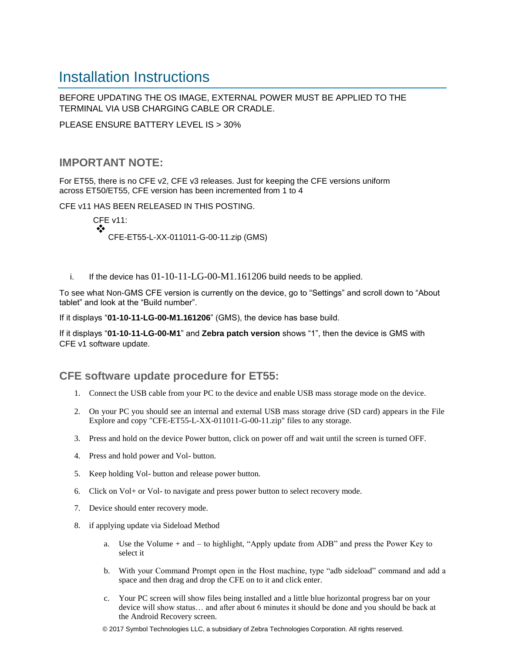## <span id="page-5-0"></span>Installation Instructions

BEFORE UPDATING THE OS IMAGE, EXTERNAL POWER MUST BE APPLIED TO THE TERMINAL VIA USB CHARGING CABLE OR CRADLE.

PLEASE ENSURE BATTERY LEVEL IS > 30%

### **IMPORTANT NOTE:**

For ET55, there is no CFE v2, CFE v3 releases. Just for keeping the CFE versions uniform across ET50/ET55, CFE version has been incremented from 1 to 4

CFE v11 HAS BEEN RELEASED IN THIS POSTING.

CFE v11: ❖ CFE-ET55-L-XX-011011-G-00-11.zip (GMS)

i. If the device has  $01-10-11-LG-00-M1.161206$  build needs to be applied.

To see what Non-GMS CFE version is currently on the device, go to "Settings" and scroll down to "About tablet" and look at the "Build number".

If it displays "**01-10-11-LG-00-M1.161206**" (GMS), the device has base build.

If it displays "**01-10-11-LG-00-M1**" and **Zebra patch version** shows "1", then the device is GMS with CFE v1 software update.

### **CFE software update procedure for ET55:**

- 1. Connect the USB cable from your PC to the device and enable USB mass storage mode on the device.
- 2. On your PC you should see an internal and external USB mass storage drive (SD card) appears in the File Explore and copy "CFE-ET55-L-XX-011011-G-00-11.zip" files to any storage.
- 3. Press and hold on the device Power button, click on power off and wait until the screen is turned OFF.
- 4. Press and hold power and Vol- button.
- 5. Keep holding Vol- button and release power button.
- 6. Click on Vol+ or Vol- to navigate and press power button to select recovery mode.
- 7. Device should enter recovery mode.
- 8. if applying update via Sideload Method
	- a. Use the Volume + and to highlight, "Apply update from ADB" and press the Power Key to select it
	- b. With your Command Prompt open in the Host machine, type "adb sideload" command and add a space and then drag and drop the CFE on to it and click enter.
	- c. Your PC screen will show files being installed and a little blue horizontal progress bar on your device will show status… and after about 6 minutes it should be done and you should be back at the Android Recovery screen.
	- © 2017 Symbol Technologies LLC, a subsidiary of Zebra Technologies Corporation. All rights reserved.